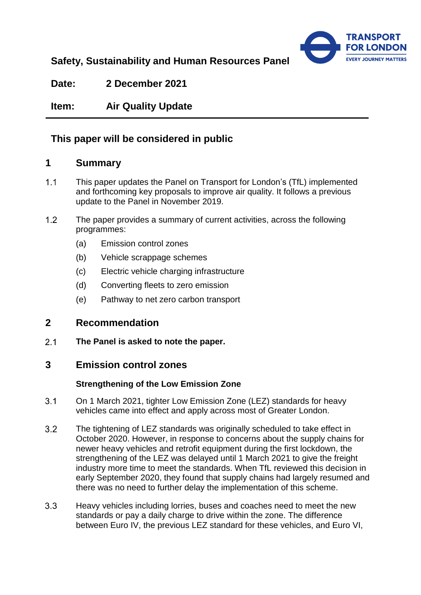

# **Safety, Sustainability and Human Resources Panel**

**Date: 2 December 2021**

**Item: Air Quality Update**

# **This paper will be considered in public**

## **1 Summary**

- $1.1$ This paper updates the Panel on Transport for London's (TfL) implemented and forthcoming key proposals to improve air quality. It follows a previous update to the Panel in November 2019.
- $1.2$ The paper provides a summary of current activities, across the following programmes:
	- (a) Emission control zones
	- (b) Vehicle scrappage schemes
	- (c) Electric vehicle charging infrastructure
	- (d) Converting fleets to zero emission
	- (e) Pathway to net zero carbon transport

## **2 Recommendation**

 $2.1$ **The Panel is asked to note the paper.** 

# **3 Emission control zones**

## **Strengthening of the Low Emission Zone**

- $3.1$ On 1 March 2021, tighter Low Emission Zone (LEZ) standards for heavy vehicles came into effect and apply across most of Greater London.
- $3.2$ The tightening of LEZ standards was originally scheduled to take effect in October 2020. However, in response to concerns about the supply chains for newer heavy vehicles and retrofit equipment during the first lockdown, the strengthening of the LEZ was delayed until 1 March 2021 to give the freight industry more time to meet the standards. When TfL reviewed this decision in early September 2020, they found that supply chains had largely resumed and there was no need to further delay the implementation of this scheme.
- $3.3$ Heavy vehicles including lorries, buses and coaches need to meet the new standards or pay a daily charge to drive within the zone. The difference between Euro IV, the previous LEZ standard for these vehicles, and Euro VI,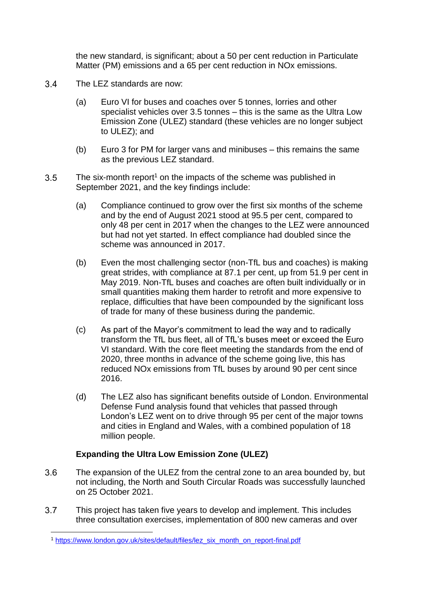the new standard, is significant; about a 50 per cent reduction in Particulate Matter (PM) emissions and a 65 per cent reduction in NOx emissions.

- $3.4$ The LEZ standards are now:
	- (a) Euro VI for buses and coaches over 5 tonnes, lorries and other specialist vehicles over 3.5 tonnes – this is the same as the Ultra Low Emission Zone (ULEZ) standard (these vehicles are no longer subject to ULEZ); and
	- (b) Euro 3 for PM for larger vans and minibuses this remains the same as the previous LEZ standard.
- $3.5$ The six-month report<sup>1</sup> on the impacts of the scheme was published in September 2021, and the key findings include:
	- (a) Compliance continued to grow over the first six months of the scheme and by the end of August 2021 stood at 95.5 per cent, compared to only 48 per cent in 2017 when the changes to the LEZ were announced but had not yet started. In effect compliance had doubled since the scheme was announced in 2017.
	- (b) Even the most challenging sector (non-TfL bus and coaches) is making great strides, with compliance at 87.1 per cent, up from 51.9 per cent in May 2019. Non-TfL buses and coaches are often built individually or in small quantities making them harder to retrofit and more expensive to replace, difficulties that have been compounded by the significant loss of trade for many of these business during the pandemic.
	- (c) As part of the Mayor's commitment to lead the way and to radically transform the TfL bus fleet, all of TfL's buses meet or exceed the Euro VI standard. With the core fleet meeting the standards from the end of 2020, three months in advance of the scheme going live, this has reduced NOx emissions from TfL buses by around 90 per cent since 2016.
	- (d) The LEZ also has significant benefits outside of London. Environmental Defense Fund analysis found that vehicles that passed through London's LEZ went on to drive through 95 per cent of the major towns and cities in England and Wales, with a combined population of 18 million people.

### **Expanding the Ultra Low Emission Zone (ULEZ)**

- $3.6$ The expansion of the ULEZ from the central zone to an area bounded by, but not including, the North and South Circular Roads was successfully launched on 25 October 2021.
- $3.7$ This project has taken five years to develop and implement. This includes three consultation exercises, implementation of 800 new cameras and over

<sup>1</sup> <sup>1</sup> [https://www.london.gov.uk/sites/default/files/lez\\_six\\_month\\_on\\_report-final.pdf](https://www.london.gov.uk/sites/default/files/lez_six_month_on_report-final.pdf)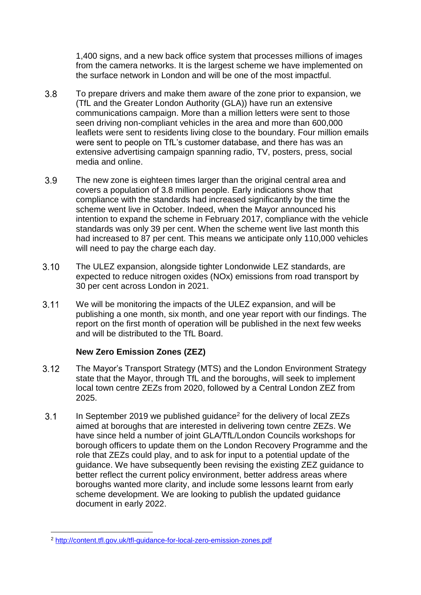1,400 signs, and a new back office system that processes millions of images from the camera networks. It is the largest scheme we have implemented on the surface network in London and will be one of the most impactful.

- $3.8$ To prepare drivers and make them aware of the zone prior to expansion, we (TfL and the Greater London Authority (GLA)) have run an extensive communications campaign. More than a million letters were sent to those seen driving non-compliant vehicles in the area and more than 600,000 leaflets were sent to residents living close to the boundary. Four million emails were sent to people on TfL's customer database, and there has was an extensive advertising campaign spanning radio, TV, posters, press, social media and online.
- 3.9 The new zone is eighteen times larger than the original central area and covers a population of 3.8 million people. Early indications show that compliance with the standards had increased significantly by the time the scheme went live in October. Indeed, when the Mayor announced his intention to expand the scheme in February 2017, compliance with the vehicle standards was only 39 per cent. When the scheme went live last month this had increased to 87 per cent. This means we anticipate only 110,000 vehicles will need to pay the charge each day.
- $3.10$ The ULEZ expansion, alongside tighter Londonwide LEZ standards, are expected to reduce nitrogen oxides (NOx) emissions from road transport by 30 per cent across London in 2021.
- $3.11$ We will be monitoring the impacts of the ULEZ expansion, and will be publishing a one month, six month, and one year report with our findings. The report on the first month of operation will be published in the next few weeks and will be distributed to the TfL Board.

#### **New Zero Emission Zones (ZEZ)**

- $3.12$ The Mayor's Transport Strategy (MTS) and the London Environment Strategy state that the Mayor, through TfL and the boroughs, will seek to implement local town centre ZEZs from 2020, followed by a Central London ZEZ from 2025.
- $3.1$ In September 2019 we published guidance<sup>2</sup> for the delivery of local ZEZs aimed at boroughs that are interested in delivering town centre ZEZs. We have since held a number of joint GLA/TfL/London Councils workshops for borough officers to update them on the London Recovery Programme and the role that ZEZs could play, and to ask for input to a potential update of the guidance. We have subsequently been revising the existing ZEZ guidance to better reflect the current policy environment, better address areas where boroughs wanted more clarity, and include some lessons learnt from early scheme development. We are looking to publish the updated guidance document in early 2022.

<sup>1</sup> <sup>2</sup> <http://content.tfl.gov.uk/tfl-guidance-for-local-zero-emission-zones.pdf>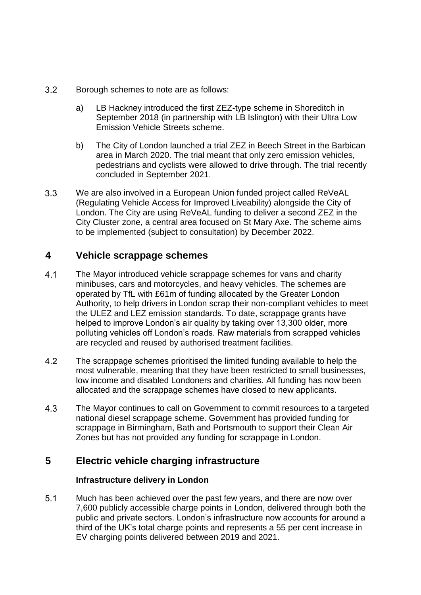- $3.2$ Borough schemes to note are as follows:
	- a) LB Hackney introduced the first ZEZ-type scheme in Shoreditch in September 2018 (in partnership with LB Islington) with their Ultra Low Emission Vehicle Streets scheme.
	- b) The City of London launched a trial ZEZ in Beech Street in the Barbican area in March 2020. The trial meant that only zero emission vehicles, pedestrians and cyclists were allowed to drive through. The trial recently concluded in September 2021.
- $3.3$ We are also involved in a European Union funded project called ReVeAL (Regulating Vehicle Access for Improved Liveability) alongside the City of London. The City are using ReVeAL funding to deliver a second ZEZ in the City Cluster zone, a central area focused on St Mary Axe. The scheme aims to be implemented (subject to consultation) by December 2022.

## **4 Vehicle scrappage schemes**

- $4.1$ The Mayor introduced vehicle scrappage schemes for vans and charity minibuses, cars and motorcycles, and heavy vehicles. The schemes are operated by TfL with £61m of funding allocated by the Greater London Authority, to help drivers in London scrap their non-compliant vehicles to meet the ULEZ and LEZ emission standards. To date, scrappage grants have helped to improve London's air quality by taking over 13,300 older, more polluting vehicles off London's roads. Raw materials from scrapped vehicles are recycled and reused by authorised treatment facilities.
- 4.2 The scrappage schemes prioritised the limited funding available to help the most vulnerable, meaning that they have been restricted to small businesses, low income and disabled Londoners and charities. All funding has now been allocated and the scrappage schemes have closed to new applicants.
- $4.3$ The Mayor continues to call on Government to commit resources to a targeted national diesel scrappage scheme. Government has provided funding for scrappage in Birmingham, Bath and Portsmouth to support their Clean Air Zones but has not provided any funding for scrappage in London.

# **5 Electric vehicle charging infrastructure**

### **Infrastructure delivery in London**

 $5.1$ Much has been achieved over the past few years, and there are now over 7,600 publicly accessible charge points in London, delivered through both the public and private sectors. London's infrastructure now accounts for around a third of the UK's total charge points and represents a 55 per cent increase in EV charging points delivered between 2019 and 2021.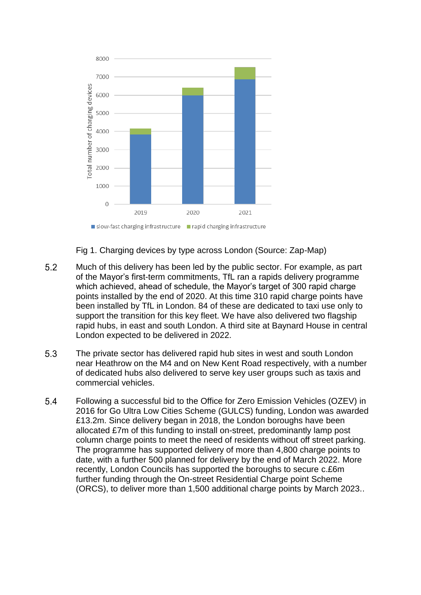

Fig 1. Charging devices by type across London (Source: Zap-Map)

- $5.2$ Much of this delivery has been led by the public sector. For example, as part of the Mayor's first-term commitments, TfL ran a rapids delivery programme which achieved, ahead of schedule, the Mayor's target of 300 rapid charge points installed by the end of 2020. At this time 310 rapid charge points have been installed by TfL in London. 84 of these are dedicated to taxi use only to support the transition for this key fleet. We have also delivered two flagship rapid hubs, in east and south London. A third site at Baynard House in central London expected to be delivered in 2022.
- 5.3 The private sector has delivered rapid hub sites in west and south London near Heathrow on the M4 and on New Kent Road respectively, with a number of dedicated hubs also delivered to serve key user groups such as taxis and commercial vehicles.
- 5.4 Following a successful bid to the Office for Zero Emission Vehicles (OZEV) in 2016 for Go Ultra Low Cities Scheme (GULCS) funding, London was awarded £13.2m. Since delivery began in 2018, the London boroughs have been allocated £7m of this funding to install on-street, predominantly lamp post column charge points to meet the need of residents without off street parking. The programme has supported delivery of more than 4,800 charge points to date, with a further 500 planned for delivery by the end of March 2022. More recently, London Councils has supported the boroughs to secure c.£6m further funding through the On-street Residential Charge point Scheme (ORCS), to deliver more than 1,500 additional charge points by March 2023..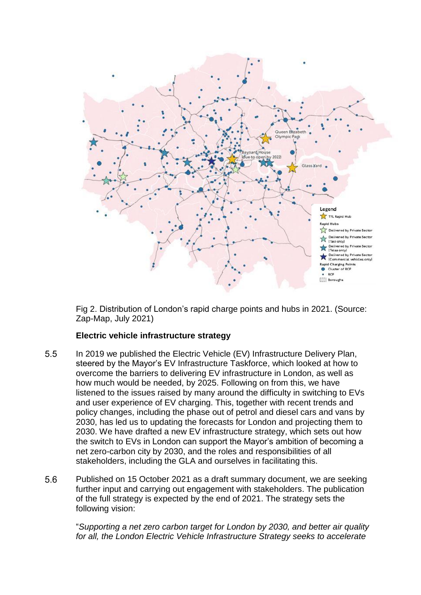

Fig 2. Distribution of London's rapid charge points and hubs in 2021. (Source: Zap-Map, July 2021)

#### **Electric vehicle infrastructure strategy**

- $5.5$ In 2019 we published the Electric Vehicle (EV) Infrastructure Delivery Plan, steered by the Mayor's EV Infrastructure Taskforce, which looked at how to overcome the barriers to delivering EV infrastructure in London, as well as how much would be needed, by 2025. Following on from this, we have listened to the issues raised by many around the difficulty in switching to EVs and user experience of EV charging. This, together with recent trends and policy changes, including the phase out of petrol and diesel cars and vans by 2030, has led us to updating the forecasts for London and projecting them to 2030. We have drafted a new EV infrastructure strategy, which sets out how the switch to EVs in London can support the Mayor's ambition of becoming a net zero-carbon city by 2030, and the roles and responsibilities of all stakeholders, including the GLA and ourselves in facilitating this.
- 5.6 Published on 15 October 2021 as a draft summary document, we are seeking further input and carrying out engagement with stakeholders. The publication of the full strategy is expected by the end of 2021. The strategy sets the following vision:

"*Supporting a net zero carbon target for London by 2030, and better air quality for all, the London Electric Vehicle Infrastructure Strategy seeks to accelerate*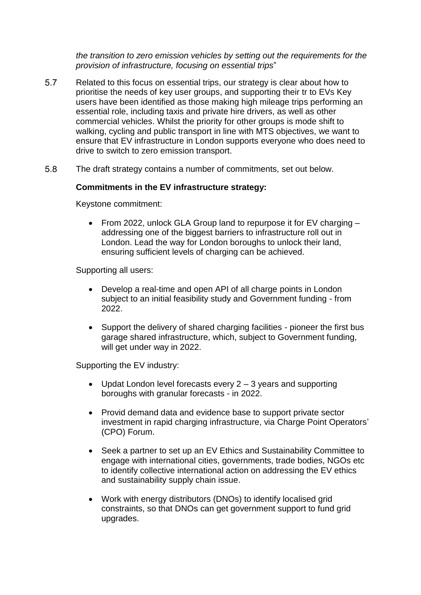*the transition to zero emission vehicles by setting out the requirements for the provision of infrastructure, focusing on essential trips*"

- 5.7 Related to this focus on essential trips, our strategy is clear about how to prioritise the needs of key user groups, and supporting their tr to EVs Key users have been identified as those making high mileage trips performing an essential role, including taxis and private hire drivers, as well as other commercial vehicles. Whilst the priority for other groups is mode shift to walking, cycling and public transport in line with MTS objectives, we want to ensure that EV infrastructure in London supports everyone who does need to drive to switch to zero emission transport.
- $58$ The draft strategy contains a number of commitments, set out below.

#### **Commitments in the EV infrastructure strategy:**

Keystone commitment:

• From 2022, unlock GLA Group land to repurpose it for EV charging – addressing one of the biggest barriers to infrastructure roll out in London. Lead the way for London boroughs to unlock their land, ensuring sufficient levels of charging can be achieved.

Supporting all users:

- Develop a real-time and open API of all charge points in London subject to an initial feasibility study and Government funding - from 2022.
- Support the delivery of shared charging facilities pioneer the first bus garage shared infrastructure, which, subject to Government funding, will get under way in 2022.

Supporting the EV industry:

- Updat London level forecasts every  $2 3$  years and supporting boroughs with granular forecasts - in 2022.
- Provid demand data and evidence base to support private sector investment in rapid charging infrastructure, via Charge Point Operators' (CPO) Forum.
- Seek a partner to set up an EV Ethics and Sustainability Committee to engage with international cities, governments, trade bodies, NGOs etc to identify collective international action on addressing the EV ethics and sustainability supply chain issue.
- Work with energy distributors (DNOs) to identify localised grid constraints, so that DNOs can get government support to fund grid upgrades.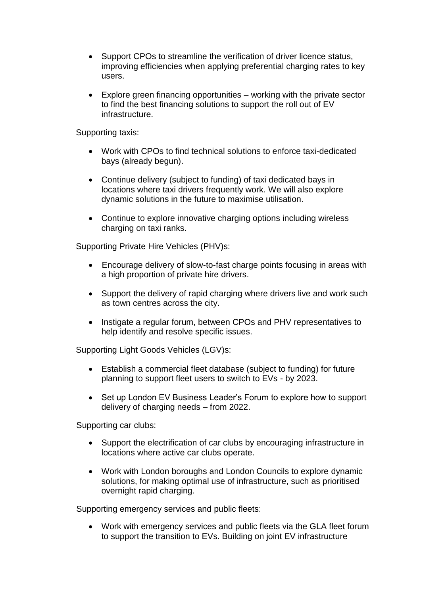- Support CPOs to streamline the verification of driver licence status, improving efficiencies when applying preferential charging rates to key users.
- Explore green financing opportunities working with the private sector to find the best financing solutions to support the roll out of EV infrastructure.

Supporting taxis:

- Work with CPOs to find technical solutions to enforce taxi-dedicated bays (already begun).
- Continue delivery (subject to funding) of taxi dedicated bays in locations where taxi drivers frequently work. We will also explore dynamic solutions in the future to maximise utilisation.
- Continue to explore innovative charging options including wireless charging on taxi ranks.

Supporting Private Hire Vehicles (PHV)s:

- Encourage delivery of slow-to-fast charge points focusing in areas with a high proportion of private hire drivers.
- Support the delivery of rapid charging where drivers live and work such as town centres across the city.
- Instigate a regular forum, between CPOs and PHV representatives to help identify and resolve specific issues.

Supporting Light Goods Vehicles (LGV)s:

- Establish a commercial fleet database (subject to funding) for future planning to support fleet users to switch to EVs - by 2023.
- Set up London EV Business Leader's Forum to explore how to support delivery of charging needs – from 2022.

Supporting car clubs:

- Support the electrification of car clubs by encouraging infrastructure in locations where active car clubs operate.
- Work with London boroughs and London Councils to explore dynamic solutions, for making optimal use of infrastructure, such as prioritised overnight rapid charging.

Supporting emergency services and public fleets:

 Work with emergency services and public fleets via the GLA fleet forum to support the transition to EVs. Building on joint EV infrastructure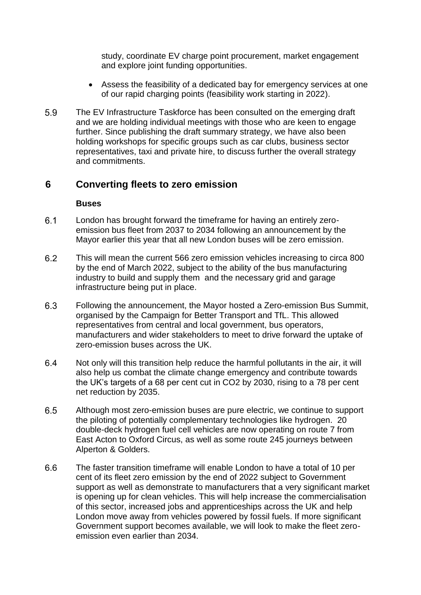study, coordinate EV charge point procurement, market engagement and explore joint funding opportunities.

- Assess the feasibility of a dedicated bay for emergency services at one of our rapid charging points (feasibility work starting in 2022).
- 5.9 The EV Infrastructure Taskforce has been consulted on the emerging draft and we are holding individual meetings with those who are keen to engage further. Since publishing the draft summary strategy, we have also been holding workshops for specific groups such as car clubs, business sector representatives, taxi and private hire, to discuss further the overall strategy and commitments.

## **6 Converting fleets to zero emission**

#### **Buses**

- $6.1$ London has brought forward the timeframe for having an entirely zeroemission bus fleet from 2037 to 2034 following an announcement by the Mayor earlier this year that all new London buses will be zero emission.
- $6.2$ This will mean the current 566 zero emission vehicles increasing to circa 800 by the end of March 2022, subject to the ability of the bus manufacturing industry to build and supply them and the necessary grid and garage infrastructure being put in place.
- 6.3 Following the announcement, the Mayor hosted a Zero-emission Bus Summit, organised by the Campaign for Better Transport and TfL. This allowed representatives from central and local government, bus operators, manufacturers and wider stakeholders to meet to drive forward the uptake of zero-emission buses across the UK.
- 6.4 Not only will this transition help reduce the harmful pollutants in the air, it will also help us combat the climate change emergency and contribute towards the UK's targets of a 68 per cent cut in CO2 by 2030, rising to a 78 per cent net reduction by 2035.
- 6.5 Although most zero-emission buses are pure electric, we continue to support the piloting of potentially complementary technologies like hydrogen. 20 double-deck hydrogen fuel cell vehicles are now operating on route 7 from East Acton to Oxford Circus, as well as some route 245 journeys between Alperton & Golders.
- 6.6 The faster transition timeframe will enable London to have a total of 10 per cent of its fleet zero emission by the end of 2022 subject to Government support as well as demonstrate to manufacturers that a very significant market is opening up for clean vehicles. This will help increase the commercialisation of this sector, increased jobs and apprenticeships across the UK and help London move away from vehicles powered by fossil fuels. If more significant Government support becomes available, we will look to make the fleet zeroemission even earlier than 2034.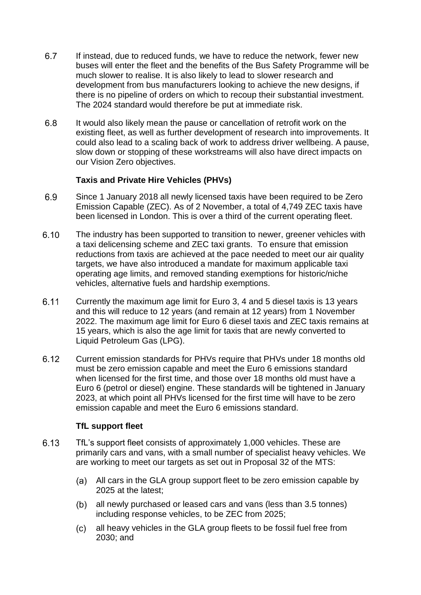- 6.7 If instead, due to reduced funds, we have to reduce the network, fewer new buses will enter the fleet and the benefits of the Bus Safety Programme will be much slower to realise. It is also likely to lead to slower research and development from bus manufacturers looking to achieve the new designs, if there is no pipeline of orders on which to recoup their substantial investment. The 2024 standard would therefore be put at immediate risk.
- 6.8 It would also likely mean the pause or cancellation of retrofit work on the existing fleet, as well as further development of research into improvements. It could also lead to a scaling back of work to address driver wellbeing. A pause, slow down or stopping of these workstreams will also have direct impacts on our Vision Zero objectives.

### **Taxis and Private Hire Vehicles (PHVs)**

- 6.9 Since 1 January 2018 all newly licensed taxis have been required to be Zero Emission Capable (ZEC). As of 2 November, a total of 4,749 ZEC taxis have been licensed in London. This is over a third of the current operating fleet.
- $6.10$ The industry has been supported to transition to newer, greener vehicles with a taxi delicensing scheme and ZEC taxi grants. To ensure that emission reductions from taxis are achieved at the pace needed to meet our air quality targets, we have also introduced a mandate for maximum applicable taxi operating age limits, and removed standing exemptions for historic/niche vehicles, alternative fuels and hardship exemptions.
- 6.11 Currently the maximum age limit for Euro 3, 4 and 5 diesel taxis is 13 years and this will reduce to 12 years (and remain at 12 years) from 1 November 2022. The maximum age limit for Euro 6 diesel taxis and ZEC taxis remains at 15 years, which is also the age limit for taxis that are newly converted to Liquid Petroleum Gas (LPG).
- $6.12$ Current emission standards for PHVs require that PHVs under 18 months old must be zero emission capable and meet the Euro 6 emissions standard when licensed for the first time, and those over 18 months old must have a Euro 6 (petrol or diesel) engine. These standards will be tightened in January 2023, at which point all PHVs licensed for the first time will have to be zero emission capable and meet the Euro 6 emissions standard.

#### **TfL support fleet**

- 6.13 TfL's support fleet consists of approximately 1,000 vehicles. These are primarily cars and vans, with a small number of specialist heavy vehicles. We are working to meet our targets as set out in Proposal 32 of the MTS:
	- All cars in the GLA group support fleet to be zero emission capable by 2025 at the latest;
	- all newly purchased or leased cars and vans (less than 3.5 tonnes) including response vehicles, to be ZEC from 2025;
	- all heavy vehicles in the GLA group fleets to be fossil fuel free from  $(c)$ 2030; and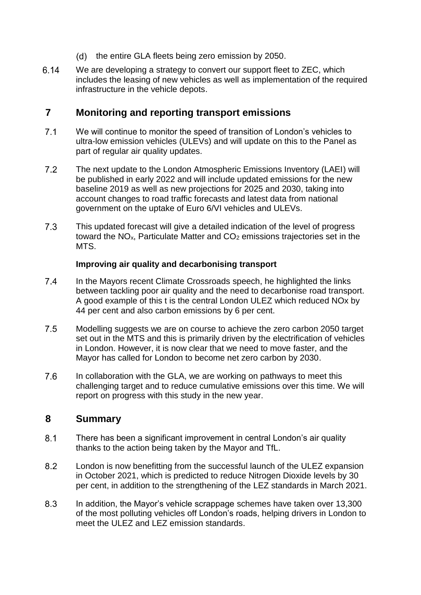- $(d)$ the entire GLA fleets being zero emission by 2050.
- 6 14 We are developing a strategy to convert our support fleet to ZEC, which includes the leasing of new vehicles as well as implementation of the required infrastructure in the vehicle depots.

## **7 Monitoring and reporting transport emissions**

- $7.1$ We will continue to monitor the speed of transition of London's vehicles to ultra-low emission vehicles (ULEVs) and will update on this to the Panel as part of regular air quality updates.
- $7.2$ The next update to the London Atmospheric Emissions Inventory (LAEI) will be published in early 2022 and will include updated emissions for the new baseline 2019 as well as new projections for 2025 and 2030, taking into account changes to road traffic forecasts and latest data from national government on the uptake of Euro 6/VI vehicles and ULEVs.
- $7.3$ This updated forecast will give a detailed indication of the level of progress toward the  $NO<sub>x</sub>$ , Particulate Matter and  $CO<sub>2</sub>$  emissions trajectories set in the MTS.

### **Improving air quality and decarbonising transport**

- $7.4$ In the Mayors recent Climate Crossroads speech, he highlighted the links between tackling poor air quality and the need to decarbonise road transport. A good example of this t is the central London ULEZ which reduced NOx by 44 per cent and also carbon emissions by 6 per cent.
- $7.5$ Modelling suggests we are on course to achieve the zero carbon 2050 target set out in the MTS and this is primarily driven by the electrification of vehicles in London. However, it is now clear that we need to move faster, and the Mayor has called for London to become net zero carbon by 2030.
- 7.6 In collaboration with the GLA, we are working on pathways to meet this challenging target and to reduce cumulative emissions over this time. We will report on progress with this study in the new year.

# **8 Summary**

- $8.1$ There has been a significant improvement in central London's air quality thanks to the action being taken by the Mayor and TfL.
- 8.2 London is now benefitting from the successful launch of the ULEZ expansion in October 2021, which is predicted to reduce Nitrogen Dioxide levels by 30 per cent, in addition to the strengthening of the LEZ standards in March 2021.
- 8.3 In addition, the Mayor's vehicle scrappage schemes have taken over 13,300 of the most polluting vehicles off London's roads, helping drivers in London to meet the ULEZ and LEZ emission standards.